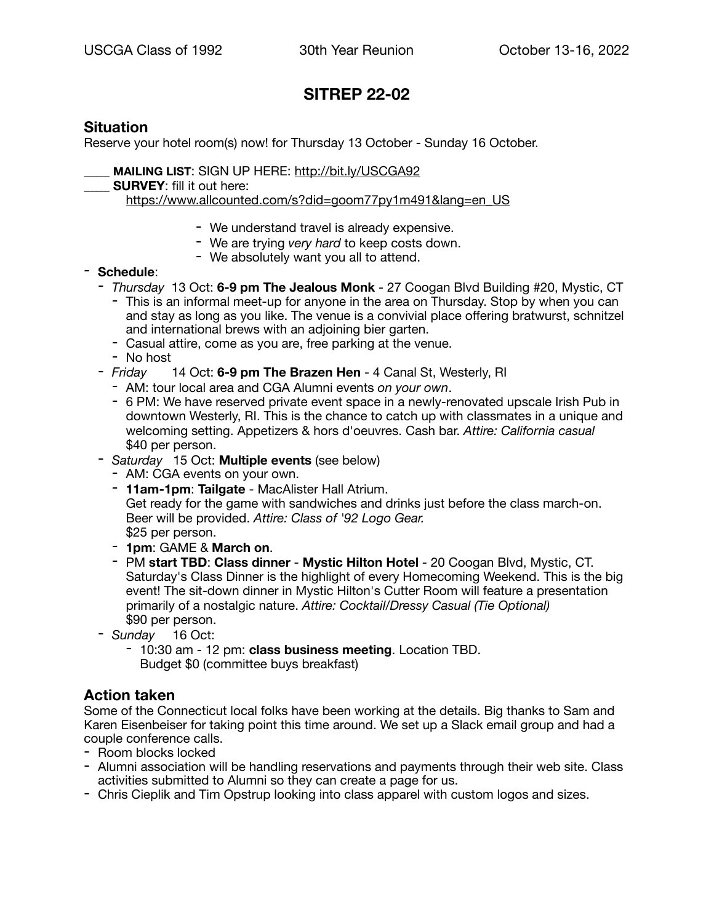# **SITREP 22-02**

## **Situation**

Reserve your hotel room(s) now! for Thursday 13 October - Sunday 16 October.

\_\_\_\_ **MAILING LIST**: SIGN UP HERE: <http://bit.ly/USCGA92>

**SURVEY:** fill it out here:

[https://www.allcounted.com/s?did=goom77py1m491&lang=en\\_US](https://www.allcounted.com/s?did=goom77py1m491&lang=en_US)

- We understand travel is already expensive.
- We are trying *very hard* to keep costs down.
- We absolutely want you all to attend.

### - **Schedule**:

- *Thursday* 13 Oct: **6-9 pm The Jealous Monk** 27 Coogan Blvd Building #20, Mystic, CT - This is an informal meet-up for anyone in the area on Thursday. Stop by when you can and stay as long as you like. The venue is a convivial place offering bratwurst, schnitzel
	- and international brews with an adjoining bier garten.
	- Casual attire, come as you are, free parking at the venue.
	- No host
- *Friday* 14 Oct: **6-9 pm The Brazen Hen** 4 Canal St, Westerly, RI
	- AM: tour local area and CGA Alumni events *on your own*.
	- 6 PM: We have reserved private event space in a newly-renovated upscale Irish Pub in downtown Westerly, RI. This is the chance to catch up with classmates in a unique and welcoming setting. Appetizers & hors d'oeuvres. Cash bar. *Attire: California casual* \$40 per person.
- *Saturday* 15 Oct: **Multiple events** (see below)
	- AM: CGA events on your own.
	- **11am-1pm**: **Tailgate** MacAlister Hall Atrium.

Get ready for the game with sandwiches and drinks just before the class march-on. Beer will be provided. *Attire: Class of '92 Logo Gear.* \$25 per person.

- **1pm**: GAME & **March on**.
- PM **start TBD**: **Class dinner Mystic Hilton Hotel** 20 Coogan Blvd, Mystic, CT. Saturday's Class Dinner is the highlight of every Homecoming Weekend. This is the big event! The sit-down dinner in Mystic Hilton's Cutter Room will feature a presentation primarily of a nostalgic nature. *Attire: Cocktail/Dressy Casual (Tie Optional)* \$90 per person.
- *Sunday* 16 Oct:
	- 10:30 am 12 pm: **class business meeting**. Location TBD. Budget \$0 (committee buys breakfast)

### **Action taken**

Some of the Connecticut local folks have been working at the details. Big thanks to Sam and Karen Eisenbeiser for taking point this time around. We set up a Slack email group and had a couple conference calls.

- Room blocks locked
- Alumni association will be handling reservations and payments through their web site. Class activities submitted to Alumni so they can create a page for us.
- Chris Cieplik and Tim Opstrup looking into class apparel with custom logos and sizes.